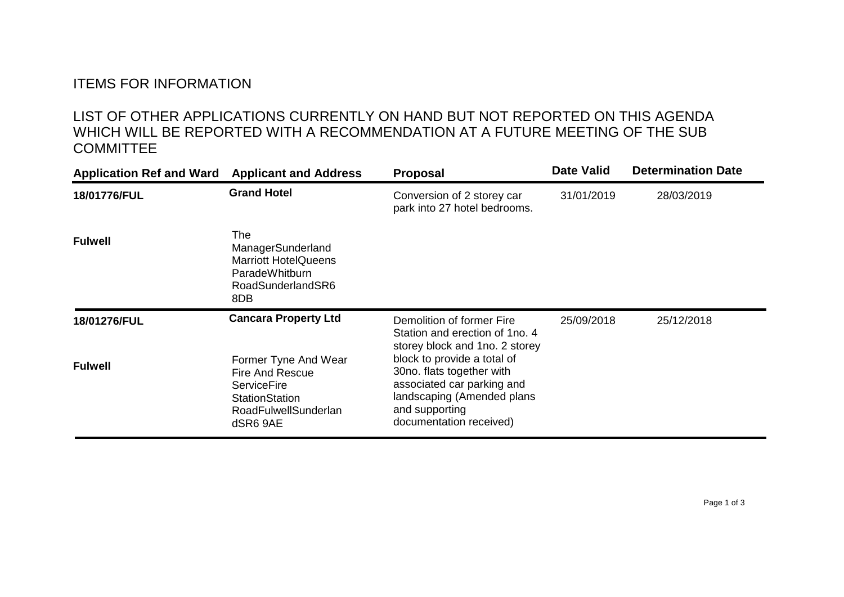## ITEMS FOR INFORMATION

## LIST OF OTHER APPLICATIONS CURRENTLY ON HAND BUT NOT REPORTED ON THIS AGENDA WHICH WILL BE REPORTED WITH A RECOMMENDATION AT A FUTURE MEETING OF THE SUB **COMMITTEE**

| <b>Application Ref and Ward</b> | <b>Applicant and Address</b>                                                                                                      | <b>Proposal</b>                                                                                                                                                   | <b>Date Valid</b> | <b>Determination Date</b> |
|---------------------------------|-----------------------------------------------------------------------------------------------------------------------------------|-------------------------------------------------------------------------------------------------------------------------------------------------------------------|-------------------|---------------------------|
| 18/01776/FUL                    | <b>Grand Hotel</b>                                                                                                                | Conversion of 2 storey car<br>park into 27 hotel bedrooms.                                                                                                        | 31/01/2019        | 28/03/2019                |
| <b>Fulwell</b>                  | The<br>ManagerSunderland<br><b>Marriott HotelQueens</b><br>ParadeWhitburn<br>RoadSunderlandSR6<br>8DB                             |                                                                                                                                                                   |                   |                           |
| 18/01276/FUL                    | <b>Cancara Property Ltd</b>                                                                                                       | Demolition of former Fire<br>Station and erection of 1no. 4<br>storey block and 1no. 2 storey                                                                     | 25/09/2018        | 25/12/2018                |
| <b>Fulwell</b>                  | Former Tyne And Wear<br><b>Fire And Rescue</b><br><b>ServiceFire</b><br><b>StationStation</b><br>RoadFulwellSunderlan<br>dSR6 9AE | block to provide a total of<br>30no. flats together with<br>associated car parking and<br>landscaping (Amended plans<br>and supporting<br>documentation received) |                   |                           |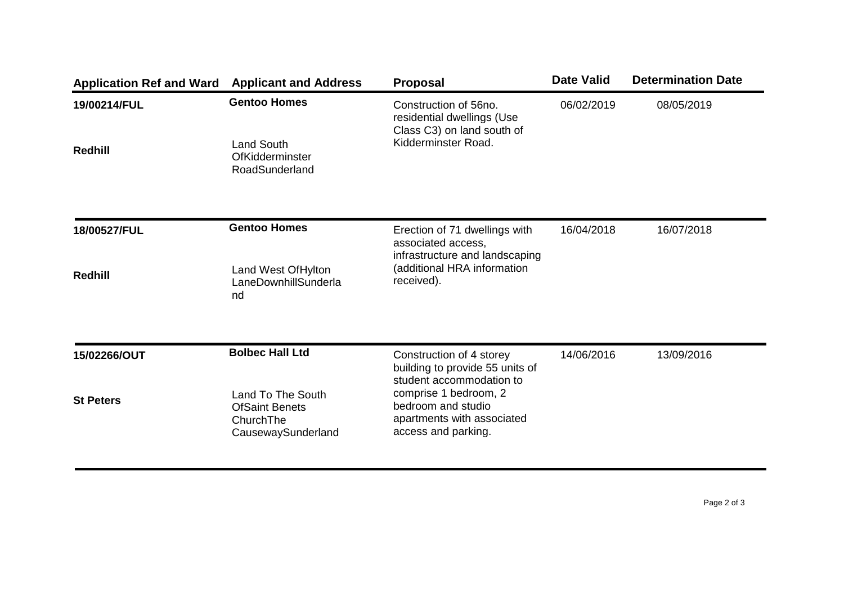| <b>Application Ref and Ward</b> | <b>Applicant and Address</b>                                                  | <b>Proposal</b>                                                                                          | <b>Date Valid</b> | <b>Determination Date</b> |
|---------------------------------|-------------------------------------------------------------------------------|----------------------------------------------------------------------------------------------------------|-------------------|---------------------------|
| 19/00214/FUL<br><b>Redhill</b>  | <b>Gentoo Homes</b><br><b>Land South</b><br>OfKidderminster<br>RoadSunderland | Construction of 56no.<br>residential dwellings (Use<br>Class C3) on land south of<br>Kidderminster Road. | 06/02/2019        | 08/05/2019                |
| 18/00527/FUL                    | <b>Gentoo Homes</b>                                                           | Erection of 71 dwellings with<br>associated access,<br>infrastructure and landscaping                    | 16/04/2018        | 16/07/2018                |
| <b>Redhill</b>                  | Land West Of Hylton<br>LaneDownhillSunderla<br>nd                             | (additional HRA information<br>received).                                                                |                   |                           |
| 15/02266/OUT                    | <b>Bolbec Hall Ltd</b>                                                        | Construction of 4 storey<br>building to provide 55 units of<br>student accommodation to                  | 14/06/2016        | 13/09/2016                |
| <b>St Peters</b>                | Land To The South<br><b>OfSaint Benets</b><br>ChurchThe<br>CausewaySunderland | comprise 1 bedroom, 2<br>bedroom and studio<br>apartments with associated<br>access and parking.         |                   |                           |

Page 2 of 3